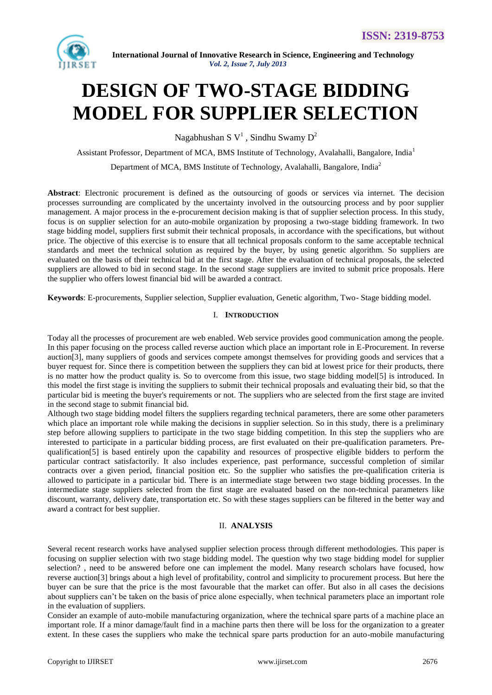

# **DESIGN OF TWO-STAGE BIDDING MODEL FOR SUPPLIER SELECTION**

Nagabhushan S $V^1$ , Sindhu Swamy D<sup>2</sup>

Assistant Professor, Department of MCA, BMS Institute of Technology, Avalahalli, Bangalore, India<sup>1</sup>

Department of MCA, BMS Institute of Technology, Avalahalli, Bangalore, India<sup>2</sup>

**Abstract**: Electronic procurement is defined as the outsourcing of goods or services via internet. The decision processes surrounding are complicated by the uncertainty involved in the outsourcing process and by poor supplier management. A major process in the e-procurement decision making is that of supplier selection process. In this study, focus is on supplier selection for an auto-mobile organization by proposing a two-stage bidding framework. In two stage bidding model, suppliers first submit their technical proposals, in accordance with the specifications, but without price. The objective of this exercise is to ensure that all technical proposals conform to the same acceptable technical standards and meet the technical solution as required by the buyer, by using genetic algorithm. So suppliers are evaluated on the basis of their technical bid at the first stage. After the evaluation of technical proposals, the selected suppliers are allowed to bid in second stage. In the second stage suppliers are invited to submit price proposals. Here the supplier who offers lowest financial bid will be awarded a contract.

**Keywords**: E-procurements, Supplier selection, Supplier evaluation, Genetic algorithm, Two- Stage bidding model.

### I. **INTRODUCTION**

Today all the processes of procurement are web enabled. Web service provides good communication among the people. In this paper focusing on the process called reverse auction which place an important role in E-Procurement. In reverse auction[3], many suppliers of goods and services compete amongst themselves for providing goods and services that a buyer request for. Since there is competition between the suppliers they can bid at lowest price for their products, there is no matter how the product quality is. So to overcome from this issue, two stage bidding model[5] is introduced. In this model the first stage is inviting the suppliers to submit their technical proposals and evaluating their bid, so that the particular bid is meeting the buyer's requirements or not. The suppliers who are selected from the first stage are invited in the second stage to submit financial bid.

Although two stage bidding model filters the suppliers regarding technical parameters, there are some other parameters which place an important role while making the decisions in supplier selection. So in this study, there is a preliminary step before allowing suppliers to participate in the two stage bidding competition. In this step the suppliers who are interested to participate in a particular bidding process, are first evaluated on their pre-qualification parameters. Prequalification[5] is based entirely upon the capability and resources of prospective eligible bidders to perform the particular contract satisfactorily. It also includes experience, past performance, successful completion of similar contracts over a given period, financial position etc. So the supplier who satisfies the pre-qualification criteria is allowed to participate in a particular bid. There is an intermediate stage between two stage bidding processes. In the intermediate stage suppliers selected from the first stage are evaluated based on the non-technical parameters like discount, warranty, delivery date, transportation etc. So with these stages suppliers can be filtered in the better way and award a contract for best supplier.

### II. **ANALYSIS**

Several recent research works have analysed supplier selection process through different methodologies. This paper is focusing on supplier selection with two stage bidding model. The question why two stage bidding model for supplier selection? , need to be answered before one can implement the model. Many research scholars have focused, how reverse auction[3] brings about a high level of profitability, control and simplicity to procurement process. But here the buyer can be sure that the price is the most favourable that the market can offer. But also in all cases the decisions about suppliers can"t be taken on the basis of price alone especially, when technical parameters place an important role in the evaluation of suppliers.

Consider an example of auto-mobile manufacturing organization, where the technical spare parts of a machine place an important role. If a minor damage/fault find in a machine parts then there will be loss for the organization to a greater extent. In these cases the suppliers who make the technical spare parts production for an auto-mobile manufacturing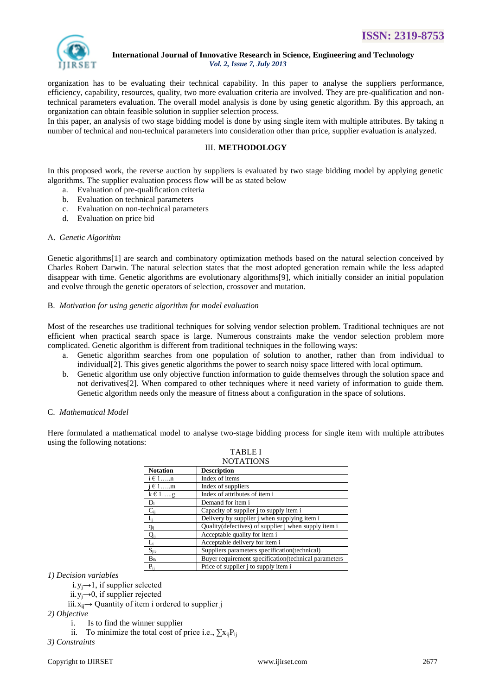

organization has to be evaluating their technical capability. In this paper to analyse the suppliers performance, efficiency, capability, resources, quality, two more evaluation criteria are involved. They are pre-qualification and nontechnical parameters evaluation. The overall model analysis is done by using genetic algorithm. By this approach, an organization can obtain feasible solution in supplier selection process.

In this paper, an analysis of two stage bidding model is done by using single item with multiple attributes. By taking n number of technical and non-technical parameters into consideration other than price, supplier evaluation is analyzed.

### III. **METHODOLOGY**

In this proposed work, the reverse auction by suppliers is evaluated by two stage bidding model by applying genetic algorithms. The supplier evaluation process flow will be as stated below

- a. Evaluation of pre-qualification criteria
- b. Evaluation on technical parameters
- c. Evaluation on non-technical parameters
- d. Evaluation on price bid

### A. *Genetic Algorithm*

Genetic algorithms[1] are search and combinatory optimization methods based on the natural selection conceived by Charles Robert Darwin. The natural selection states that the most adopted generation remain while the less adapted disappear with time. Genetic algorithms are evolutionary algorithms[9], which initially consider an initial population and evolve through the genetic operators of selection, crossover and mutation.

### B. *Motivation for using genetic algorithm for model evaluation*

Most of the researches use traditional techniques for solving vendor selection problem. Traditional techniques are not efficient when practical search space is large. Numerous constraints make the vendor selection problem more complicated. Genetic algorithm is different from traditional techniques in the following ways:

- a. Genetic algorithm searches from one population of solution to another, rather than from individual to individual[2]. This gives genetic algorithms the power to search noisy space littered with local optimum.
- b. Genetic algorithm use only objective function information to guide themselves through the solution space and not derivatives[2]. When compared to other techniques where it need variety of information to guide them. Genetic algorithm needs only the measure of fitness about a configuration in the space of solutions.

### C. *Mathematical Model*

Here formulated a mathematical model to analyse two-stage bidding process for single item with multiple attributes using the following notations:

|                 | 110 LATTURI                                           |  |  |  |
|-----------------|-------------------------------------------------------|--|--|--|
| <b>Notation</b> | <b>Description</b>                                    |  |  |  |
| $i \in 1,n$     | Index of items                                        |  |  |  |
| $i \in 1$ m     | Index of suppliers                                    |  |  |  |
| $k \in 1g$      | Index of attributes of item i                         |  |  |  |
| $D_i$           | Demand for item i                                     |  |  |  |
| $C_{ii}$        | Capacity of supplier j to supply item i               |  |  |  |
| $l_{ii}$        | Delivery by supplier j when supplying item i          |  |  |  |
| $q_{ij}$        | Quality (defectives) of supplier j when supply item i |  |  |  |
| $Q_{ii}$        | Acceptable quality for item i                         |  |  |  |
| $L_i$           | Acceptable delivery for item i                        |  |  |  |
| $S_{ijk}$       | Suppliers parameters specification(technical)         |  |  |  |
| $B_{ik}$        | Buyer requirement specification (technical parameters |  |  |  |
| $P_{ii}$        | Price of supplier j to supply item i                  |  |  |  |

TABLE I **NOTATIONS** 

*1) Decision variables*

i.y<sub>i</sub> $\rightarrow$ 1, if supplier selected

ii.  $y_i \rightarrow 0$ , if supplier rejected

iii. $x_{ii}$  → Quantity of item i ordered to supplier j

*2) Objective*

i. Is to find the winner supplier

ii. To minimize the total cost of price i.e.,  $\sum x_{ii}P_{ii}$ 

*3) Constraints*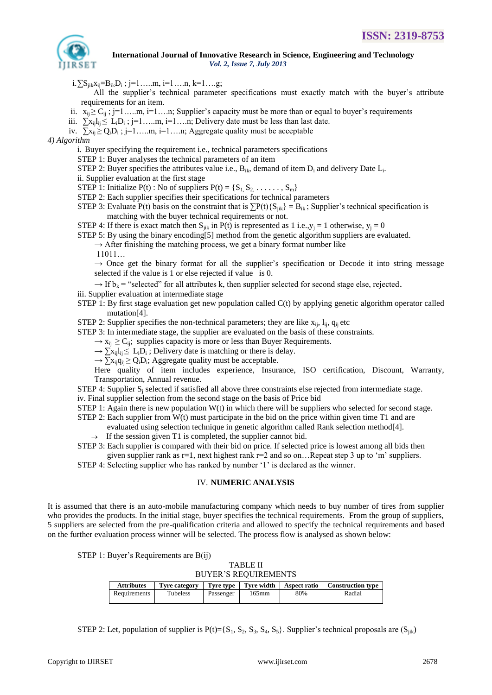

i.∑S<sub>jik</sub>x<sub>ij</sub>=B<sub>ik</sub>D<sub>i</sub>; j=1……m, i=1……n, k=1….g;

All the supplier's technical parameter specifications must exactly match with the buyer's attribute requirements for an item.

ii.  $x_{ij} \ge C_{ij}$ ; j=1…..m, i=1….n; Supplier's capacity must be more than or equal to buyer's requirements

- iii.  $\sum x_{ij}l_{ij} \le L_iD_i$ ; j=1....m, i=1...n; Delivery date must be less than last date.
- iv.  $\sum x_{ij} \ge Q_i D_i$ ; j=1....m, i=1...n; Aggregate quality must be acceptable

*4) Algorithm*

i. Buyer specifying the requirement i.e., technical parameters specifications

STEP 1: Buyer analyses the technical parameters of an item

STEP 2: Buyer specifies the attributes value i.e.,  $B_{ik}$ , demand of item  $D_i$  and delivery Date  $L_i$ .

ii. Supplier evaluation at the first stage

STEP 1: Initialize  $P(t)$ : No of suppliers  $P(t) = \{S_1, S_2, \ldots, S_m\}$ 

STEP 2: Each supplier specifies their specifications for technical parameters

STEP 3: Evaluate P(t) basis on the constraint that is  $\sum P(t) \{S_{ik}\} = B_{ik}$ ; Supplier's technical specification is matching with the buyer technical requirements or not.

STEP 4: If there is exact match then  $S_{ijk}$  in P(t) is represented as 1 i.e., $y_i = 1$  otherwise,  $y_i = 0$ 

STEP 5: By using the binary encoding[5] method from the genetic algorithm suppliers are evaluated.

 $\rightarrow$  After finishing the matching process, we get a binary format number like

11011…

 $\rightarrow$  Once get the binary format for all the supplier's specification or Decode it into string message selected if the value is 1 or else rejected if value is 0.

 $\rightarrow$  If  $b_k$  = "selected" for all attributes k, then supplier selected for second stage else, rejected.

- iii. Supplier evaluation at intermediate stage
- STEP 1: By first stage evaluation get new population called C(t) by applying genetic algorithm operator called mutation[4].

STEP 2: Supplier specifies the non-technical parameters; they are like  $x_{ij}$ ,  $l_{ij}$ ,  $q_{ij}$  etc

STEP 3: In intermediate stage, the supplier are evaluated on the basis of these constraints.

 $\rightarrow$  x<sub>ii</sub>  $\geq$  C<sub>ii</sub>; supplies capacity is more or less than Buyer Requirements.

 $\rightarrow \sum x_{ij}l_{ij} \leq L_iD_i$ ; Delivery date is matching or there is delay.

 $\rightarrow \sum x_{ij} q_{ij} \ge Q_i D_i$ ; Aggregate quality must be acceptable.

Here quality of item includes experience, Insurance, ISO certification, Discount, Warranty, Transportation, Annual revenue.

STEP 4: Supplier S<sup>j</sup> selected if satisfied all above three constraints else rejected from intermediate stage.

iv. Final supplier selection from the second stage on the basis of Price bid

STEP 1: Again there is new population  $W(t)$  in which there will be suppliers who selected for second stage.

- STEP 2: Each supplier from  $W(t)$  must participate in the bid on the price within given time T1 and are
	- evaluated using selection technique in genetic algorithm called Rank selection method[4].  $\rightarrow$  If the session given T1 is completed, the supplier cannot bid.
- STEP 3: Each supplier is compared with their bid on price. If selected price is lowest among all bids then
- given supplier rank as  $r=1$ , next highest rank  $r=2$  and so on... Repeat step 3 up to 'm' suppliers.

STEP 4: Selecting supplier who has ranked by number '1' is declared as the winner.

### IV. **NUMERIC ANALYSIS**

It is assumed that there is an auto-mobile manufacturing company which needs to buy number of tires from supplier who provides the products. In the initial stage, buyer specifies the technical requirements. From the group of suppliers, 5 suppliers are selected from the pre-qualification criteria and allowed to specify the technical requirements and based on the further evaluation process winner will be selected. The process flow is analysed as shown below:

STEP 1: Buyer's Requirements are  $B(ij)$ 

TABLE II BUYER"S REQUIREMENTS

| <b>Attributes</b> |          |           |          |     | Tyre category   Tyre type   Tyre width   Aspect ratio   Construction type |
|-------------------|----------|-----------|----------|-----|---------------------------------------------------------------------------|
| Requirements      | Tubeless | Passenger | $165$ mm | 80% | Radial                                                                    |

STEP 2: Let, population of supplier is  $P(t)=\{S_1, S_2, S_3, S_4, S_5\}$ . Supplier's technical proposals are  $(S_{ii})$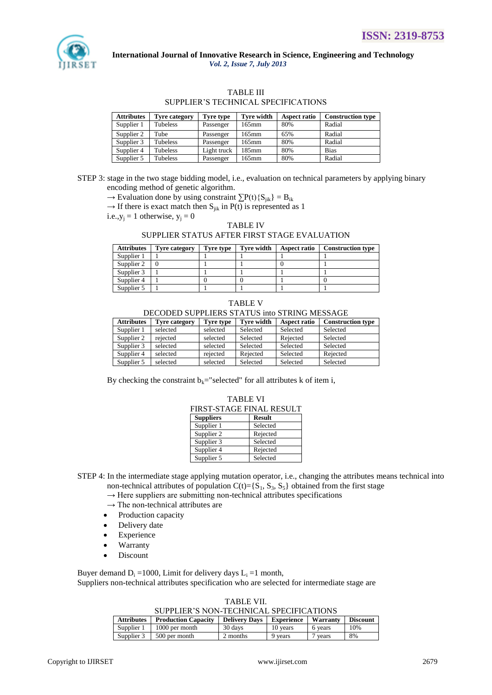

## TABLE III

### SUPPLIER"S TECHNICAL SPECIFICATIONS

| <b>Attributes</b> | <b>Tyre category</b> | Tyre type   | <b>Tyre width</b> | <b>Aspect ratio</b> | <b>Construction type</b> |
|-------------------|----------------------|-------------|-------------------|---------------------|--------------------------|
| Supplier 1        | Tubeless             | Passenger   | 165mm             | 80%                 | Radial                   |
| Supplier 2        | Tube                 | Passenger   | 165mm             | 65%                 | Radial                   |
| Supplier 3        | Tubeless             | Passenger   | $165$ mm          | 80%                 | Radial                   |
| Supplier 4        | Tubeless             | Light truck | 185mm             | 80%                 | <b>Bias</b>              |
| Supplier 5        | Tubeless             | Passenger   | 165mm             | 80%                 | Radial                   |

STEP 3: stage in the two stage bidding model, i.e., evaluation on technical parameters by applying binary encoding method of genetic algorithm.

 $\rightarrow$  Evaluation done by using constraint  $\sum P(t)$ {S<sub>iik</sub>} = B<sub>ik</sub>

 $\rightarrow$  If there is exact match then S<sub>iik</sub> in P(t) is represented as 1

i.e., $y_i = 1$  otherwise,  $y_i = 0$ 

### TABLE IV

### SUPPLIER STATUS AFTER FIRST STAGE EVALUATION

| <b>Attributes</b> | <b>Tyre category</b> | Tyre type | Tyre width | <b>Aspect ratio</b> | <b>Construction type</b> |
|-------------------|----------------------|-----------|------------|---------------------|--------------------------|
| Supplier 1        |                      |           |            |                     |                          |
| Supplier 2        |                      |           |            |                     |                          |
| Supplier 3        |                      |           |            |                     |                          |
| Supplier 4        |                      |           |            |                     |                          |
| Supplier 5        |                      |           |            |                     |                          |

|--|--|

#### DECODED SUPPLIERS STATUS into STRING MESSAGE

| <b>Attributes</b> | <b>Tyre category</b> | Tyre type | <b>Tyre width</b> | <b>Aspect ratio</b> | <b>Construction type</b> |
|-------------------|----------------------|-----------|-------------------|---------------------|--------------------------|
| Supplier 1        | selected             | selected  | Selected          | Selected            | Selected                 |
| Supplier 2        | rejected             | selected  | Selected          | Rejected            | Selected                 |
| Supplier 3        | selected             | selected  | Selected          | Selected            | Selected                 |
| Supplier 4        | selected             | rejected  | Rejected          | Selected            | Rejected                 |
| Supplier 5        | selected             | selected  | Selected          | Selected            | Selected                 |

By checking the constraint  $b_k$ ="selected" for all attributes k of item i,

| <b>FIRST-STAGE FINAL RESULT</b> |               |  |
|---------------------------------|---------------|--|
| <b>Suppliers</b>                | <b>Result</b> |  |
| Supplier 1                      | Selected      |  |
| Supplier 2                      | Rejected      |  |
| Supplier 3                      | Selected      |  |
| Supplier 4                      | Rejected      |  |
| Supplier 5                      | Selected      |  |

TABLE VI

- STEP 4: In the intermediate stage applying mutation operator, i.e., changing the attributes means technical into non-technical attributes of population  $C(t) = \{S_1, S_3, S_5\}$  obtained from the first stage
	- $\rightarrow$  Here suppliers are submitting non-technical attributes specifications
	- $\rightarrow$  The non-technical attributes are
	- Production capacity
	- Delivery date
	- Experience
	- Warranty
	- Discount

Buyer demand  $D_i = 1000$ , Limit for delivery days  $L_i = 1$  month, Suppliers non-technical attributes specification who are selected for intermediate stage are

### TABLE VII.

SUPPLIER"S NON-TECHNICAL SPECIFICATIONS

| <b>Attributes</b> | <b>Production Capacity</b> | <b>Delivery Days</b> | Experience | Warranty | <b>Discount</b> |
|-------------------|----------------------------|----------------------|------------|----------|-----------------|
| Supplier 1        | 1000 per month             | 30 days              | 10 years   | 6 years  | 10%             |
| Supplier 3        | 500 per month              | 2 months             | 9 years    | 7 years  | 8%              |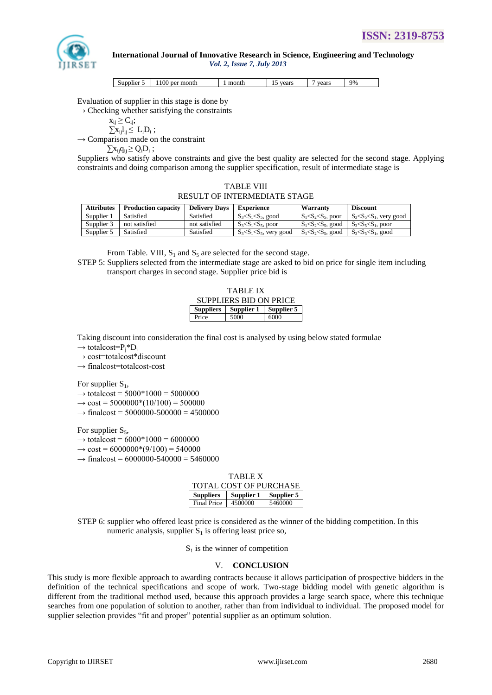

| Supplier 5 | 1100 per month | month | vears | vears | 9% |
|------------|----------------|-------|-------|-------|----|

Evaluation of supplier in this stage is done by

;

 $\rightarrow$  Checking whether satisfying the constraints

$$
\begin{array}{c} x_{ij} \geq C_{ij}; \\ \sum x_{ij} l_{ij} \leq \ L_i D_i \\ \text{parison made} \end{array}
$$

 $\rightarrow$  Comparison made on the constraint  $\sum x_{ij} q_{ij} \ge Q_i D_i;$ 

Suppliers who satisfy above constraints and give the best quality are selected for the second stage. Applying constraints and doing comparison among the supplier specification, result of intermediate stage is

TABLE VIII RESULT OF INTERMEDIATE STAGE

| <b>Attributes</b> | Production capacity | <b>Delivery Days</b> | Experience                    | Warranty                                          | <b>Discount</b>               |
|-------------------|---------------------|----------------------|-------------------------------|---------------------------------------------------|-------------------------------|
| Supplier 1        | Satisfied           | Satisfied            | $S_3 < S_1 < S_5$ , good      | $S_1 < S_2 < S_5$ , poor                          | $S_3 < S_5 < S_1$ , very good |
| Supplier 3        | not satisfied       | not satisfied        | $S_3 < S_1 < S_5$ , poor      | $S_1 < S_2 < S_5$ , good $S_3 < S_5 < S_1$ , poor |                               |
| Supplier 5        | Satisfied           | Satisfied            | $S_3 < S_1 < S_5$ , very good | $S_1 < S_2 < S_5$ , good                          | $S_3 < S_5 < S_1$ , good      |

From Table. VIII,  $S_1$  and  $S_5$  are selected for the second stage.

STEP 5: Suppliers selected from the intermediate stage are asked to bid on price for single item including transport charges in second stage. Supplier price bid is

| <b>TABLE IX</b> |                               |      |  |  |
|-----------------|-------------------------------|------|--|--|
|                 | <b>SUPPLIERS BID ON PRICE</b> |      |  |  |
| Suppliers       | Supplier 1   Supplier 5       |      |  |  |
| Price           | 5000                          | 6000 |  |  |

Taking discount into consideration the final cost is analysed by using below stated formulae

 $\rightarrow$  totalcost=P<sub>i</sub>\*D<sub>i</sub>

 $\rightarrow$  cost=totalcost\*discount

 $\rightarrow$  finalcost=totalcost-cost

For supplier  $S_1$ ,

 $\rightarrow$  totalcost = 5000\*1000 = 5000000

 $\rightarrow$  cost = 5000000<sup>\*</sup>(10/100) = 500000

 $\rightarrow$  finalcost = 5000000-500000 = 4500000

For supplier  $S_5$ ,

```
\rightarrow totalcost = 6000*1000 = 6000000
```
 $\rightarrow$  cost = 6000000\*(9/100) = 540000

 $\rightarrow$  finalcost = 6000000-540000 = 5460000

| TABLE X                                     |         |         |  |  |
|---------------------------------------------|---------|---------|--|--|
| TOTAL COST OF PURCHASE                      |         |         |  |  |
| Supplier 1   Supplier 5<br><b>Suppliers</b> |         |         |  |  |
| Final Price                                 | 4500000 | 5460000 |  |  |

STEP 6: supplier who offered least price is considered as the winner of the bidding competition. In this numeric analysis, supplier  $S_1$  is offering least price so,

 $S_1$  is the winner of competition

### V. **CONCLUSION**

This study is more flexible approach to awarding contracts because it allows participation of prospective bidders in the definition of the technical specifications and scope of work. Two-stage bidding model with genetic algorithm is different from the traditional method used, because this approach provides a large search space, where this technique searches from one population of solution to another, rather than from individual to individual. The proposed model for supplier selection provides "fit and proper" potential supplier as an optimum solution.